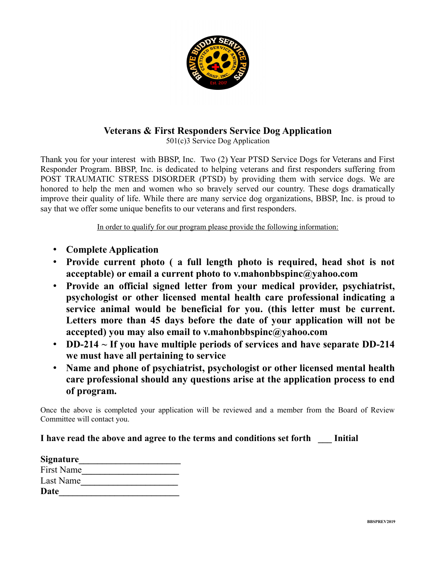

## **Veterans & First Responders Service Dog Application**

501(c)3 Service Dog Application

Thank you for your interest with BBSP, Inc. Two (2) Year PTSD Service Dogs for Veterans and First Responder Program. BBSP, Inc. is dedicated to helping veterans and first responders suffering from POST TRAUMATIC STRESS DISORDER (PTSD) by providing them with service dogs. We are honored to help the men and women who so bravely served our country. These dogs dramatically improve their quality of life. While there are many service dog organizations, BBSP, Inc. is proud to say that we offer some unique benefits to our veterans and first responders.

In order to qualify for our program please provide the following information:

- **Complete Application**
- **Provide current photo ( a full length photo is required, head shot is not acceptable) or email a current photo to v.mahonbbspinc@yahoo.com**
- **Provide an official signed letter from your medical provider, psychiatrist, psychologist or other licensed mental health care professional indicating a service animal would be beneficial for you. (this letter must be current. Letters more than 45 days before the date of your application will not be accepted) you may also email to v.mahonbbspinc@yahoo.com**
- **DD-214 ~ If you have multiple periods of services and have separate DD-214 we must have all pertaining to service**
- **Name and phone of psychiatrist, psychologist or other licensed mental health care professional should any questions arise at the application process to end of program.**

Once the above is completed your application will be reviewed and a member from the Board of Review Committee will contact you.

#### **I have read the above and agree to the terms and conditions set forth \_\_\_ Initial**

| <b>Signature</b>  |  |
|-------------------|--|
| <b>First Name</b> |  |
| Last Name         |  |
| Date              |  |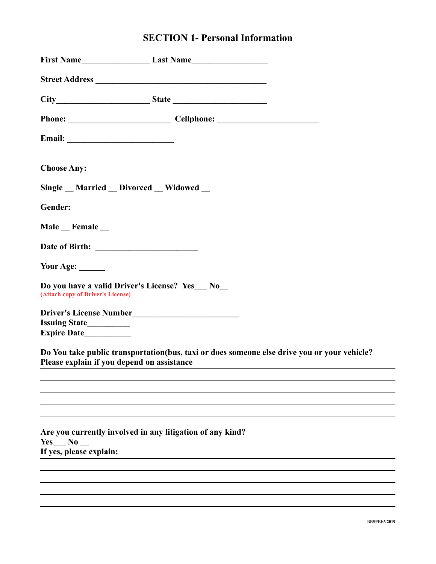# **SECTION 1- Personal Information**

|                                                                                   | Phone: Cellphone: Cellphone:                                                                |
|-----------------------------------------------------------------------------------|---------------------------------------------------------------------------------------------|
|                                                                                   |                                                                                             |
| <b>Choose Any:</b>                                                                |                                                                                             |
| Single __ Married __ Divorced __ Widowed __                                       |                                                                                             |
| Gender:                                                                           |                                                                                             |
| Male _Female _                                                                    |                                                                                             |
|                                                                                   |                                                                                             |
| Your Age: ______                                                                  |                                                                                             |
| Do you have a valid Driver's License? Yes No<br>(Attach copy of Driver's License) |                                                                                             |
|                                                                                   |                                                                                             |
| Please explain if you depend on assistance                                        | Do You take public transportation(bus, taxi or does someone else drive you or your vehicle? |
|                                                                                   |                                                                                             |
|                                                                                   |                                                                                             |
|                                                                                   |                                                                                             |
| Are you currently involved in any litigation of any kind?<br>Yes<br>$N_{0}$       |                                                                                             |
| If yes, please explain:                                                           |                                                                                             |
|                                                                                   |                                                                                             |
|                                                                                   |                                                                                             |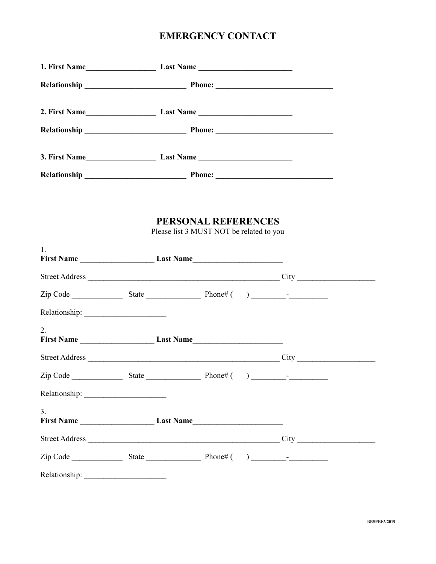## **EMERGENCY CONTACT**

| 1.            | PERSONAL REFERENCES<br>Please list 3 MUST NOT be related to you                                                         |  |
|---------------|-------------------------------------------------------------------------------------------------------------------------|--|
|               |                                                                                                                         |  |
|               |                                                                                                                         |  |
|               |                                                                                                                         |  |
|               |                                                                                                                         |  |
| 2.            |                                                                                                                         |  |
|               |                                                                                                                         |  |
|               | $\text{Zip Code} \_\_\_\_\_\_\$ State $\_\_\_\_\_\_\_\$ Phone# $($ ) $)$ $\_\_\_\_\_\_\_\_\_\_\_\_\_\_\_\_\_\_\_\_\_\_$ |  |
|               |                                                                                                                         |  |
| 3.            |                                                                                                                         |  |
|               |                                                                                                                         |  |
|               | $\text{Zip Code} \_\_\_\_\_\$ State $\_\_\_\_\_\$ Phone# $($ ) $)$ $\_\_\_\_\_\_\_\_\_\_\_\_\_\_\_\_\_\_\_\_$           |  |
| Relationship: |                                                                                                                         |  |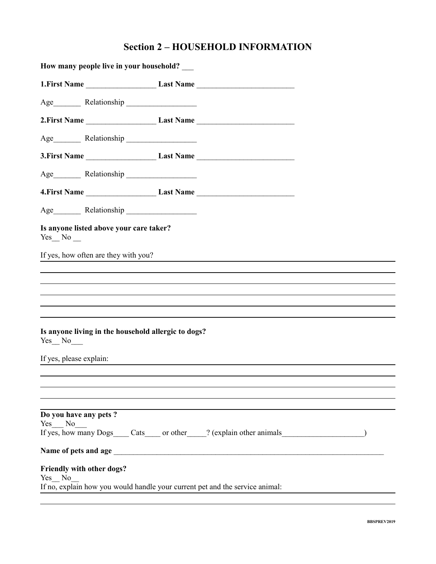## **Section 2 – HOUSEHOLD INFORMATION**

| How many people live in your household?                                  |                                                                                                      |
|--------------------------------------------------------------------------|------------------------------------------------------------------------------------------------------|
|                                                                          |                                                                                                      |
|                                                                          |                                                                                                      |
|                                                                          |                                                                                                      |
|                                                                          |                                                                                                      |
|                                                                          |                                                                                                      |
|                                                                          |                                                                                                      |
|                                                                          |                                                                                                      |
|                                                                          |                                                                                                      |
| Is anyone listed above your care taker?<br>$Yes$ No $\_\$                |                                                                                                      |
| If yes, how often are they with you?                                     |                                                                                                      |
|                                                                          |                                                                                                      |
|                                                                          |                                                                                                      |
|                                                                          |                                                                                                      |
|                                                                          |                                                                                                      |
| Is anyone living in the household allergic to dogs?<br>$Yes$ No $\qquad$ |                                                                                                      |
| If yes, please explain:                                                  |                                                                                                      |
|                                                                          |                                                                                                      |
|                                                                          |                                                                                                      |
| Do you have any pets?                                                    |                                                                                                      |
|                                                                          | If yes, how many Dogs____ Cats____ or other____? (explain other animals_____________________________ |
|                                                                          |                                                                                                      |
| Friendly with other dogs?                                                |                                                                                                      |
| Yes No                                                                   | If no, explain how you would handle your current pet and the service animal:                         |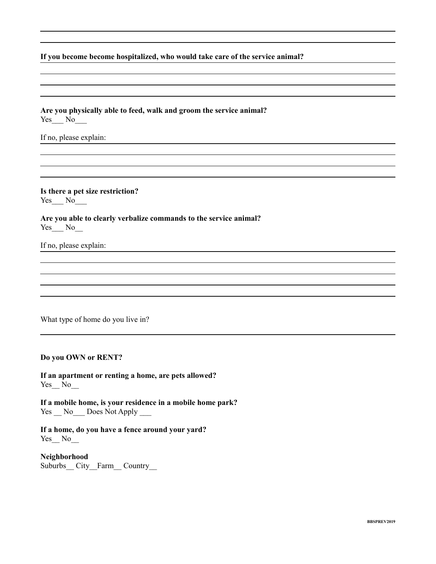#### **If you become become hospitalized, who would take care of the service animal?**

**Are you physically able to feed, walk and groom the service animal?** Yes No

If no, please explain:

**Is there a pet size restriction?** 

Yes No

**Are you able to clearly verbalize commands to the service animal?** Yes No

If no, please explain:

What type of home do you live in?

**Do you OWN or RENT?**

**If an apartment or renting a home, are pets allowed?** Yes No

**If a mobile home, is your residence in a mobile home park?** Yes \_\_ No\_\_\_ Does Not Apply \_\_\_

**If a home, do you have a fence around your yard?**  Yes No

**Neighborhood** Suburbs\_\_ City\_\_Farm\_\_ Country\_\_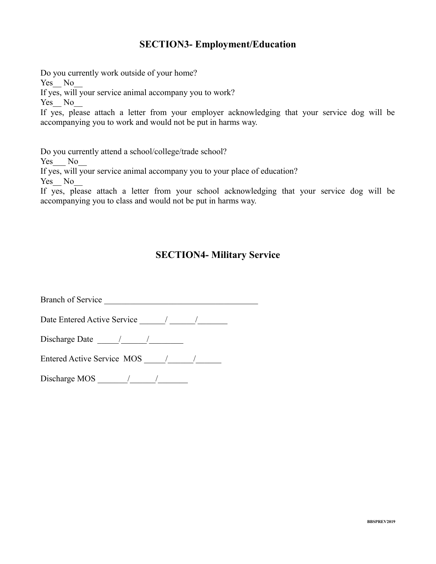## **SECTION3- Employment/Education**

Do you currently work outside of your home? Yes No If yes, will your service animal accompany you to work? Yes No If yes, please attach a letter from your employer acknowledging that your service dog will be accompanying you to work and would not be put in harms way.

Do you currently attend a school/college/trade school? Yes No If yes, will your service animal accompany you to your place of education? Yes No

If  $y_{\text{es}}$ , please attach a letter from your school acknowledging that your service dog will be accompanying you to class and would not be put in harms way.

#### **SECTION4- Military Service**

Branch of Service \_\_\_\_\_\_\_\_\_\_\_\_\_\_\_\_\_\_\_\_\_\_\_\_\_\_\_\_\_\_\_\_\_\_\_\_

Date Entered Active Service  $\frac{1}{2}$  /

Discharge Date  $\frac{1}{\sqrt{1-\frac{1}{2}}}$ 

Entered Active Service MOS \_\_\_\_\_/\_\_\_\_\_\_/\_\_\_\_\_\_

Discharge MOS  $\frac{1}{\sqrt{2\pi}}$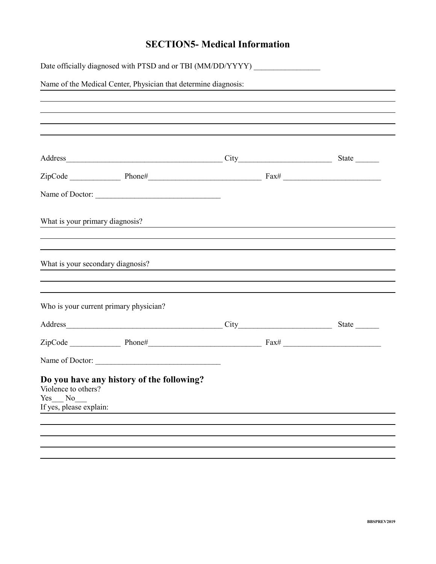## **SECTION5- Medical Information**

| Date officially diagnosed with PTSD and or TBI (MM/DD/YYYY) ____________________                                      |  |  |  |
|-----------------------------------------------------------------------------------------------------------------------|--|--|--|
| Name of the Medical Center, Physician that determine diagnosis:                                                       |  |  |  |
| ,我们也不会有什么。""我们的人,我们也不会有什么?""我们的人,我们也不会有什么?""我们的人,我们也不会有什么?""我们的人,我们也不会有什么?""我们的人                                      |  |  |  |
|                                                                                                                       |  |  |  |
|                                                                                                                       |  |  |  |
|                                                                                                                       |  |  |  |
|                                                                                                                       |  |  |  |
|                                                                                                                       |  |  |  |
| Name of Doctor:                                                                                                       |  |  |  |
|                                                                                                                       |  |  |  |
| What is your primary diagnosis?                                                                                       |  |  |  |
| <u> 1989 - Johann Stoff, deutscher Stoffen und der Stoffen und der Stoffen und der Stoffen und der Stoffen und de</u> |  |  |  |
| ,我们也不会有什么?""我们的人,我们也不会有什么?""我们的人,我们也不会有什么?""我们的人,我们也不会有什么?""我们的人,我们也不会有什么?""我们的人                                      |  |  |  |
| What is your secondary diagnosis?                                                                                     |  |  |  |
| ,我们也不会有什么。""我们的人,我们也不会有什么?""我们的人,我们也不会有什么?""我们的人,我们也不会有什么?""我们的人,我们也不会有什么?""我们的人                                      |  |  |  |
| ,我们也不会有什么。""我们的人,我们也不会有什么?""我们的人,我们也不会有什么?""我们的人,我们也不会有什么?""我们的人,我们也不会有什么?""我们的人                                      |  |  |  |
| Who is your current primary physician?                                                                                |  |  |  |
|                                                                                                                       |  |  |  |
|                                                                                                                       |  |  |  |
|                                                                                                                       |  |  |  |
| Name of Doctor:                                                                                                       |  |  |  |
| Do you have any history of the following?<br>Violence to others?                                                      |  |  |  |
| No<br>Yes                                                                                                             |  |  |  |
| If yes, please explain:                                                                                               |  |  |  |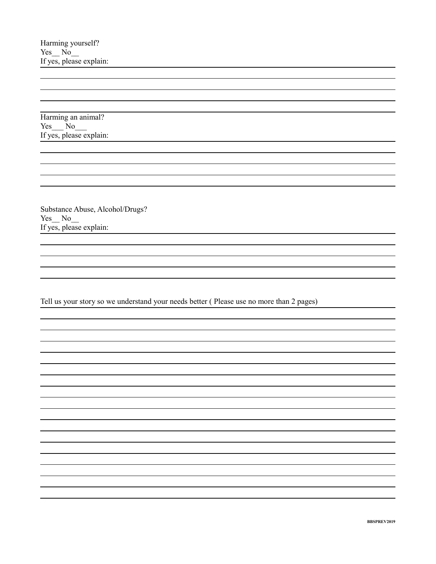Harming an animal? Yes No If yes, please explain:

Substance Abuse, Alcohol/Drugs?  $Yes_ No_$ If yes, please explain:

Tell us your story so we understand your needs better ( Please use no more than 2 pages)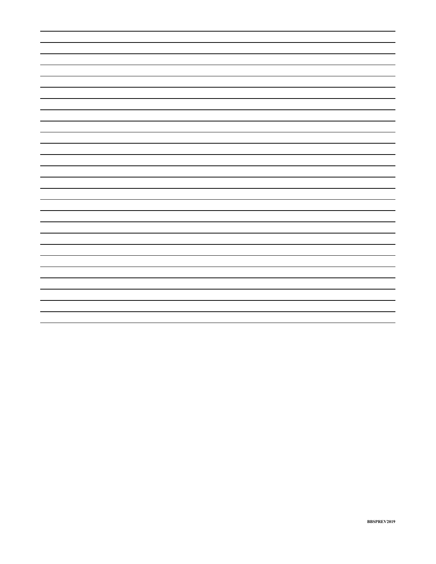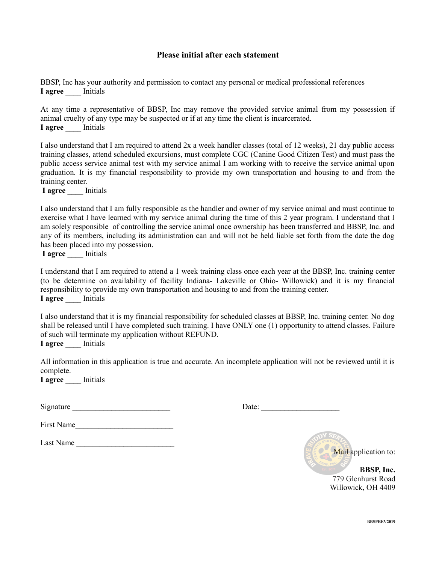#### **Please initial after each statement**

BBSP, Inc has your authority and permission to contact any personal or medical professional references **I agree** \_\_\_\_ Initials

At any time a representative of BBSP, Inc may remove the provided service animal from my possession if animal cruelty of any type may be suspected or if at any time the client is incarcerated. **I agree** \_\_\_\_ Initials

I also understand that I am required to attend 2x a week handler classes (total of 12 weeks), 21 day public access training classes, attend scheduled excursions, must complete CGC (Canine Good Citizen Test) and must pass the public access service animal test with my service animal I am working with to receive the service animal upon graduation. It is my financial responsibility to provide my own transportation and housing to and from the training center.

**I agree** \_\_\_\_ Initials

I also understand that I am fully responsible as the handler and owner of my service animal and must continue to exercise what I have learned with my service animal during the time of this 2 year program. I understand that I am solely responsible of controlling the service animal once ownership has been transferred and BBSP, Inc. and any of its members, including its administration can and will not be held liable set forth from the date the dog has been placed into my possession.

**I** agree Initials

I understand that I am required to attend a 1 week training class once each year at the BBSP, Inc. training center (to be determine on availability of facility Indiana- Lakeville or Ohio- Willowick) and it is my financial responsibility to provide my own transportation and housing to and from the training center. **I agree** \_\_\_\_ Initials

I also understand that it is my financial responsibility for scheduled classes at BBSP, Inc. training center. No dog shall be released until I have completed such training. I have ONLY one (1) opportunity to attend classes. Failure of such will terminate my application without REFUND.

**I agree** \_\_\_\_ Initials

All information in this application is true and accurate. An incomplete application will not be reviewed until it is complete.

**I** agree Initials

Signature  $\Box$ 

| <b>First Name</b> |
|-------------------|
|                   |

| Last Name |  |
|-----------|--|
|           |  |